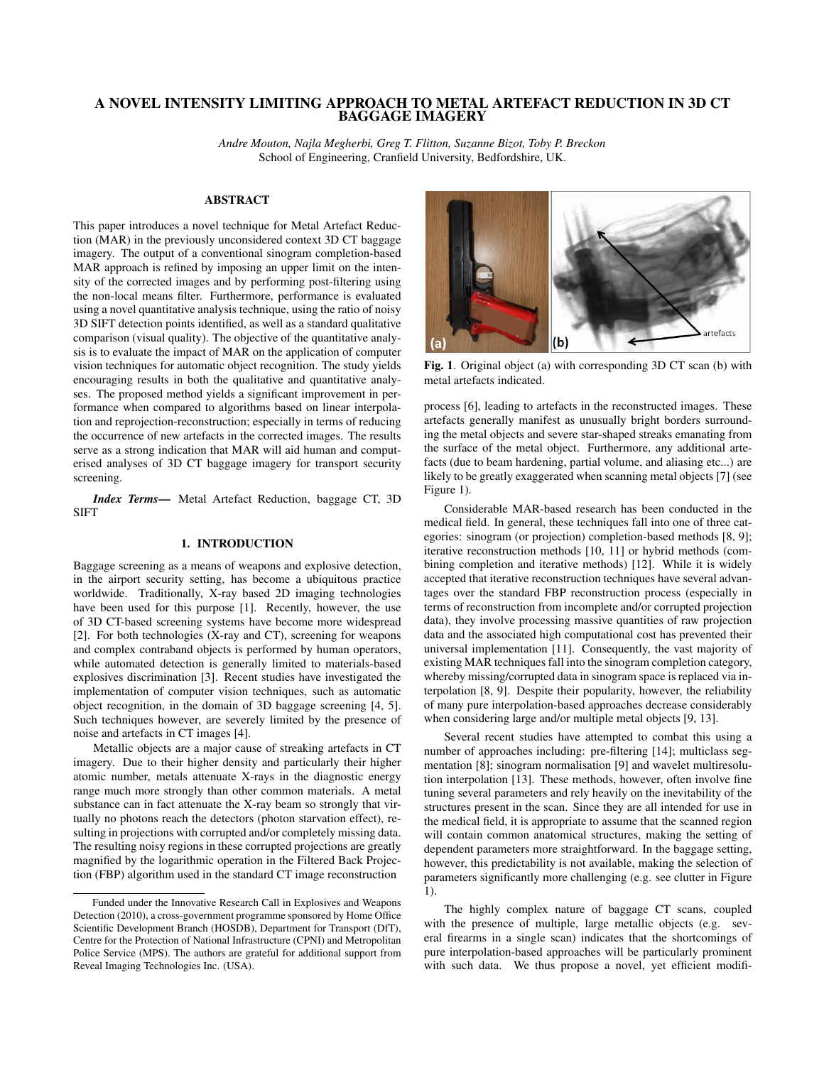# A NOVEL INTENSITY LIMITING APPROACH TO METAL ARTEFACT REDUCTION IN 3D CT BAGGAGE IMAGERY

*Andre Mouton, Najla Megherbi, Greg T. Flitton, Suzanne Bizot, Toby P. Breckon* School of Engineering, Cranfield University, Bedfordshire, UK.

## ABSTRACT

This paper introduces a novel technique for Metal Artefact Reduction (MAR) in the previously unconsidered context 3D CT baggage imagery. The output of a conventional sinogram completion-based MAR approach is refined by imposing an upper limit on the intensity of the corrected images and by performing post-filtering using the non-local means filter. Furthermore, performance is evaluated using a novel quantitative analysis technique, using the ratio of noisy 3D SIFT detection points identified, as well as a standard qualitative comparison (visual quality). The objective of the quantitative analysis is to evaluate the impact of MAR on the application of computer vision techniques for automatic object recognition. The study yields encouraging results in both the qualitative and quantitative analyses. The proposed method yields a significant improvement in performance when compared to algorithms based on linear interpolation and reprojection-reconstruction; especially in terms of reducing the occurrence of new artefacts in the corrected images. The results serve as a strong indication that MAR will aid human and computerised analyses of 3D CT baggage imagery for transport security screening.

*Index Terms*— Metal Artefact Reduction, baggage CT, 3D SIFT

# 1. INTRODUCTION

Baggage screening as a means of weapons and explosive detection, in the airport security setting, has become a ubiquitous practice worldwide. Traditionally, X-ray based 2D imaging technologies have been used for this purpose [1]. Recently, however, the use of 3D CT-based screening systems have become more widespread [2]. For both technologies (X-ray and CT), screening for weapons and complex contraband objects is performed by human operators, while automated detection is generally limited to materials-based explosives discrimination [3]. Recent studies have investigated the implementation of computer vision techniques, such as automatic object recognition, in the domain of 3D baggage screening [4, 5]. Such techniques however, are severely limited by the presence of noise and artefacts in CT images [4].

Metallic objects are a major cause of streaking artefacts in CT imagery. Due to their higher density and particularly their higher atomic number, metals attenuate X-rays in the diagnostic energy range much more strongly than other common materials. A metal substance can in fact attenuate the X-ray beam so strongly that virtually no photons reach the detectors (photon starvation effect), resulting in projections with corrupted and/or completely missing data. The resulting noisy regions in these corrupted projections are greatly magnified by the logarithmic operation in the Filtered Back Projection (FBP) algorithm used in the standard CT image reconstruction



Fig. 1. Original object (a) with corresponding 3D CT scan (b) with metal artefacts indicated.

process [6], leading to artefacts in the reconstructed images. These artefacts generally manifest as unusually bright borders surrounding the metal objects and severe star-shaped streaks emanating from the surface of the metal object. Furthermore, any additional artefacts (due to beam hardening, partial volume, and aliasing etc...) are likely to be greatly exaggerated when scanning metal objects [7] (see Figure 1).

Considerable MAR-based research has been conducted in the medical field. In general, these techniques fall into one of three categories: sinogram (or projection) completion-based methods [8, 9]; iterative reconstruction methods [10, 11] or hybrid methods (combining completion and iterative methods) [12]. While it is widely accepted that iterative reconstruction techniques have several advantages over the standard FBP reconstruction process (especially in terms of reconstruction from incomplete and/or corrupted projection data), they involve processing massive quantities of raw projection data and the associated high computational cost has prevented their universal implementation [11]. Consequently, the vast majority of existing MAR techniques fall into the sinogram completion category, whereby missing/corrupted data in sinogram space is replaced via interpolation [8, 9]. Despite their popularity, however, the reliability of many pure interpolation-based approaches decrease considerably when considering large and/or multiple metal objects [9, 13].

Several recent studies have attempted to combat this using a number of approaches including: pre-filtering [14]; multiclass segmentation [8]; sinogram normalisation [9] and wavelet multiresolution interpolation [13]. These methods, however, often involve fine tuning several parameters and rely heavily on the inevitability of the structures present in the scan. Since they are all intended for use in the medical field, it is appropriate to assume that the scanned region will contain common anatomical structures, making the setting of dependent parameters more straightforward. In the baggage setting, however, this predictability is not available, making the selection of parameters significantly more challenging (e.g. see clutter in Figure 1).

The highly complex nature of baggage CT scans, coupled with the presence of multiple, large metallic objects (e.g. several firearms in a single scan) indicates that the shortcomings of pure interpolation-based approaches will be particularly prominent with such data. We thus propose a novel, yet efficient modifi-

Funded under the Innovative Research Call in Explosives and Weapons Detection (2010), a cross-government programme sponsored by Home Office Scientific Development Branch (HOSDB), Department for Transport (DfT), Centre for the Protection of National Infrastructure (CPNI) and Metropolitan Police Service (MPS). The authors are grateful for additional support from Reveal Imaging Technologies Inc. (USA).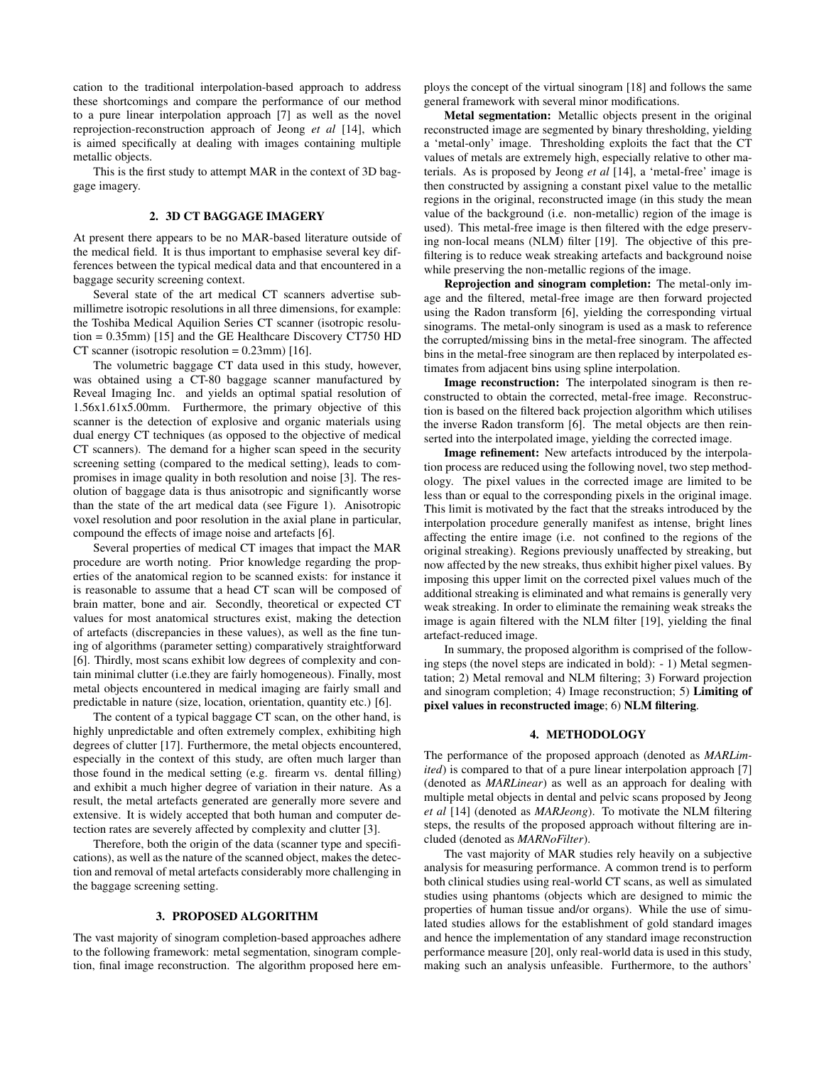cation to the traditional interpolation-based approach to address these shortcomings and compare the performance of our method to a pure linear interpolation approach [7] as well as the novel reprojection-reconstruction approach of Jeong *et al* [14], which is aimed specifically at dealing with images containing multiple metallic objects.

This is the first study to attempt MAR in the context of 3D baggage imagery.

## 2. 3D CT BAGGAGE IMAGERY

At present there appears to be no MAR-based literature outside of the medical field. It is thus important to emphasise several key differences between the typical medical data and that encountered in a baggage security screening context.

Several state of the art medical CT scanners advertise submillimetre isotropic resolutions in all three dimensions, for example: the Toshiba Medical Aquilion Series CT scanner (isotropic resolution = 0.35mm) [15] and the GE Healthcare Discovery CT750 HD CT scanner (isotropic resolution  $= 0.23$ mm) [16].

The volumetric baggage CT data used in this study, however, was obtained using a CT-80 baggage scanner manufactured by Reveal Imaging Inc. and yields an optimal spatial resolution of 1.56x1.61x5.00mm. Furthermore, the primary objective of this scanner is the detection of explosive and organic materials using dual energy CT techniques (as opposed to the objective of medical CT scanners). The demand for a higher scan speed in the security screening setting (compared to the medical setting), leads to compromises in image quality in both resolution and noise [3]. The resolution of baggage data is thus anisotropic and significantly worse than the state of the art medical data (see Figure 1). Anisotropic voxel resolution and poor resolution in the axial plane in particular, compound the effects of image noise and artefacts [6].

Several properties of medical CT images that impact the MAR procedure are worth noting. Prior knowledge regarding the properties of the anatomical region to be scanned exists: for instance it is reasonable to assume that a head CT scan will be composed of brain matter, bone and air. Secondly, theoretical or expected CT values for most anatomical structures exist, making the detection of artefacts (discrepancies in these values), as well as the fine tuning of algorithms (parameter setting) comparatively straightforward [6]. Thirdly, most scans exhibit low degrees of complexity and contain minimal clutter (i.e.they are fairly homogeneous). Finally, most metal objects encountered in medical imaging are fairly small and predictable in nature (size, location, orientation, quantity etc.) [6].

The content of a typical baggage CT scan, on the other hand, is highly unpredictable and often extremely complex, exhibiting high degrees of clutter [17]. Furthermore, the metal objects encountered, especially in the context of this study, are often much larger than those found in the medical setting (e.g. firearm vs. dental filling) and exhibit a much higher degree of variation in their nature. As a result, the metal artefacts generated are generally more severe and extensive. It is widely accepted that both human and computer detection rates are severely affected by complexity and clutter [3].

Therefore, both the origin of the data (scanner type and specifications), as well as the nature of the scanned object, makes the detection and removal of metal artefacts considerably more challenging in the baggage screening setting.

## 3. PROPOSED ALGORITHM

The vast majority of sinogram completion-based approaches adhere to the following framework: metal segmentation, sinogram completion, final image reconstruction. The algorithm proposed here employs the concept of the virtual sinogram [18] and follows the same general framework with several minor modifications.

Metal segmentation: Metallic objects present in the original reconstructed image are segmented by binary thresholding, yielding a 'metal-only' image. Thresholding exploits the fact that the CT values of metals are extremely high, especially relative to other materials. As is proposed by Jeong *et al* [14], a 'metal-free' image is then constructed by assigning a constant pixel value to the metallic regions in the original, reconstructed image (in this study the mean value of the background (i.e. non-metallic) region of the image is used). This metal-free image is then filtered with the edge preserving non-local means (NLM) filter [19]. The objective of this prefiltering is to reduce weak streaking artefacts and background noise while preserving the non-metallic regions of the image.

Reprojection and sinogram completion: The metal-only image and the filtered, metal-free image are then forward projected using the Radon transform [6], yielding the corresponding virtual sinograms. The metal-only sinogram is used as a mask to reference the corrupted/missing bins in the metal-free sinogram. The affected bins in the metal-free sinogram are then replaced by interpolated estimates from adjacent bins using spline interpolation.

Image reconstruction: The interpolated sinogram is then reconstructed to obtain the corrected, metal-free image. Reconstruction is based on the filtered back projection algorithm which utilises the inverse Radon transform [6]. The metal objects are then reinserted into the interpolated image, yielding the corrected image.

Image refinement: New artefacts introduced by the interpolation process are reduced using the following novel, two step methodology. The pixel values in the corrected image are limited to be less than or equal to the corresponding pixels in the original image. This limit is motivated by the fact that the streaks introduced by the interpolation procedure generally manifest as intense, bright lines affecting the entire image (i.e. not confined to the regions of the original streaking). Regions previously unaffected by streaking, but now affected by the new streaks, thus exhibit higher pixel values. By imposing this upper limit on the corrected pixel values much of the additional streaking is eliminated and what remains is generally very weak streaking. In order to eliminate the remaining weak streaks the image is again filtered with the NLM filter [19], yielding the final artefact-reduced image.

In summary, the proposed algorithm is comprised of the following steps (the novel steps are indicated in bold): - 1) Metal segmentation; 2) Metal removal and NLM filtering; 3) Forward projection and sinogram completion; 4) Image reconstruction; 5) Limiting of pixel values in reconstructed image; 6) NLM filtering.

#### 4. METHODOLOGY

The performance of the proposed approach (denoted as *MARLimited*) is compared to that of a pure linear interpolation approach [7] (denoted as *MARLinear*) as well as an approach for dealing with multiple metal objects in dental and pelvic scans proposed by Jeong *et al* [14] (denoted as *MARJeong*). To motivate the NLM filtering steps, the results of the proposed approach without filtering are included (denoted as *MARNoFilter*).

The vast majority of MAR studies rely heavily on a subjective analysis for measuring performance. A common trend is to perform both clinical studies using real-world CT scans, as well as simulated studies using phantoms (objects which are designed to mimic the properties of human tissue and/or organs). While the use of simulated studies allows for the establishment of gold standard images and hence the implementation of any standard image reconstruction performance measure [20], only real-world data is used in this study, making such an analysis unfeasible. Furthermore, to the authors'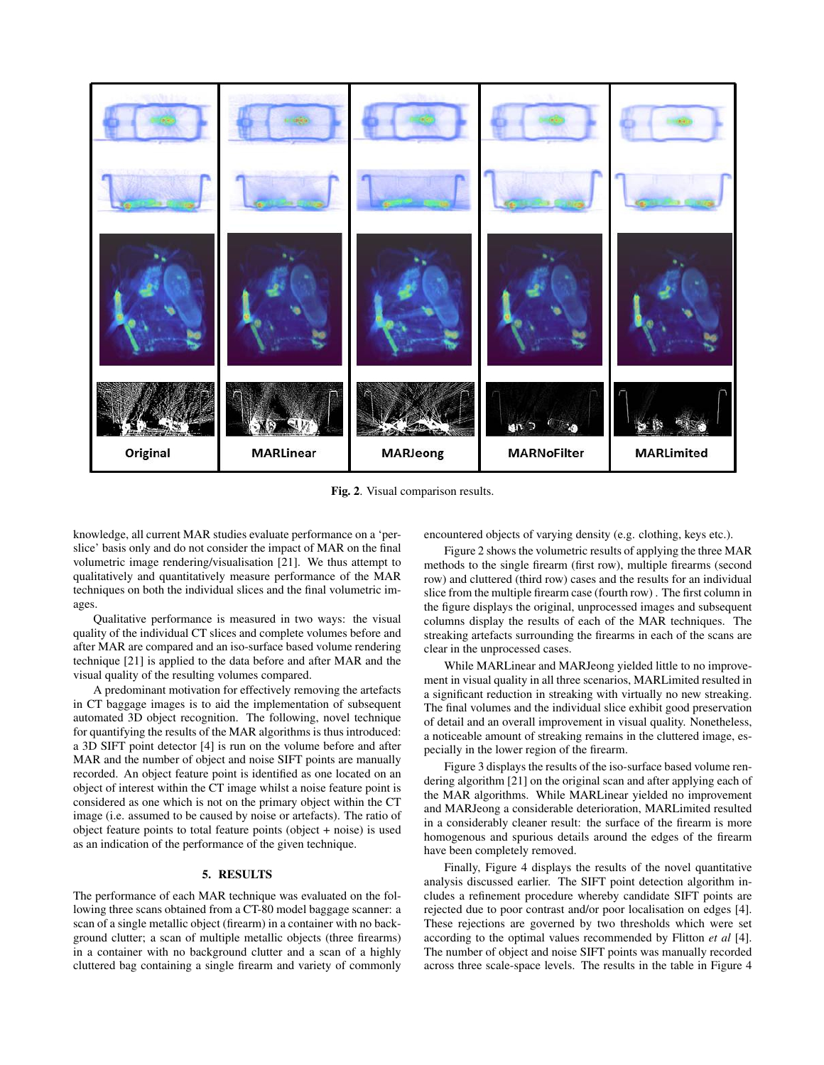

Fig. 2. Visual comparison results.

knowledge, all current MAR studies evaluate performance on a 'perslice' basis only and do not consider the impact of MAR on the final volumetric image rendering/visualisation [21]. We thus attempt to qualitatively and quantitatively measure performance of the MAR techniques on both the individual slices and the final volumetric images.

Qualitative performance is measured in two ways: the visual quality of the individual CT slices and complete volumes before and after MAR are compared and an iso-surface based volume rendering technique [21] is applied to the data before and after MAR and the visual quality of the resulting volumes compared.

A predominant motivation for effectively removing the artefacts in CT baggage images is to aid the implementation of subsequent automated 3D object recognition. The following, novel technique for quantifying the results of the MAR algorithms is thus introduced: a 3D SIFT point detector [4] is run on the volume before and after MAR and the number of object and noise SIFT points are manually recorded. An object feature point is identified as one located on an object of interest within the CT image whilst a noise feature point is considered as one which is not on the primary object within the CT image (i.e. assumed to be caused by noise or artefacts). The ratio of object feature points to total feature points (object + noise) is used as an indication of the performance of the given technique.

## 5. RESULTS

The performance of each MAR technique was evaluated on the following three scans obtained from a CT-80 model baggage scanner: a scan of a single metallic object (firearm) in a container with no background clutter; a scan of multiple metallic objects (three firearms) in a container with no background clutter and a scan of a highly cluttered bag containing a single firearm and variety of commonly

encountered objects of varying density (e.g. clothing, keys etc.).

Figure 2 shows the volumetric results of applying the three MAR methods to the single firearm (first row), multiple firearms (second row) and cluttered (third row) cases and the results for an individual slice from the multiple firearm case (fourth row) . The first column in the figure displays the original, unprocessed images and subsequent columns display the results of each of the MAR techniques. The streaking artefacts surrounding the firearms in each of the scans are clear in the unprocessed cases.

While MARLinear and MARJeong yielded little to no improvement in visual quality in all three scenarios, MARLimited resulted in a significant reduction in streaking with virtually no new streaking. The final volumes and the individual slice exhibit good preservation of detail and an overall improvement in visual quality. Nonetheless, a noticeable amount of streaking remains in the cluttered image, especially in the lower region of the firearm.

Figure 3 displays the results of the iso-surface based volume rendering algorithm [21] on the original scan and after applying each of the MAR algorithms. While MARLinear yielded no improvement and MARJeong a considerable deterioration, MARLimited resulted in a considerably cleaner result: the surface of the firearm is more homogenous and spurious details around the edges of the firearm have been completely removed.

Finally, Figure 4 displays the results of the novel quantitative analysis discussed earlier. The SIFT point detection algorithm includes a refinement procedure whereby candidate SIFT points are rejected due to poor contrast and/or poor localisation on edges [4]. These rejections are governed by two thresholds which were set according to the optimal values recommended by Flitton *et al* [4]. The number of object and noise SIFT points was manually recorded across three scale-space levels. The results in the table in Figure 4